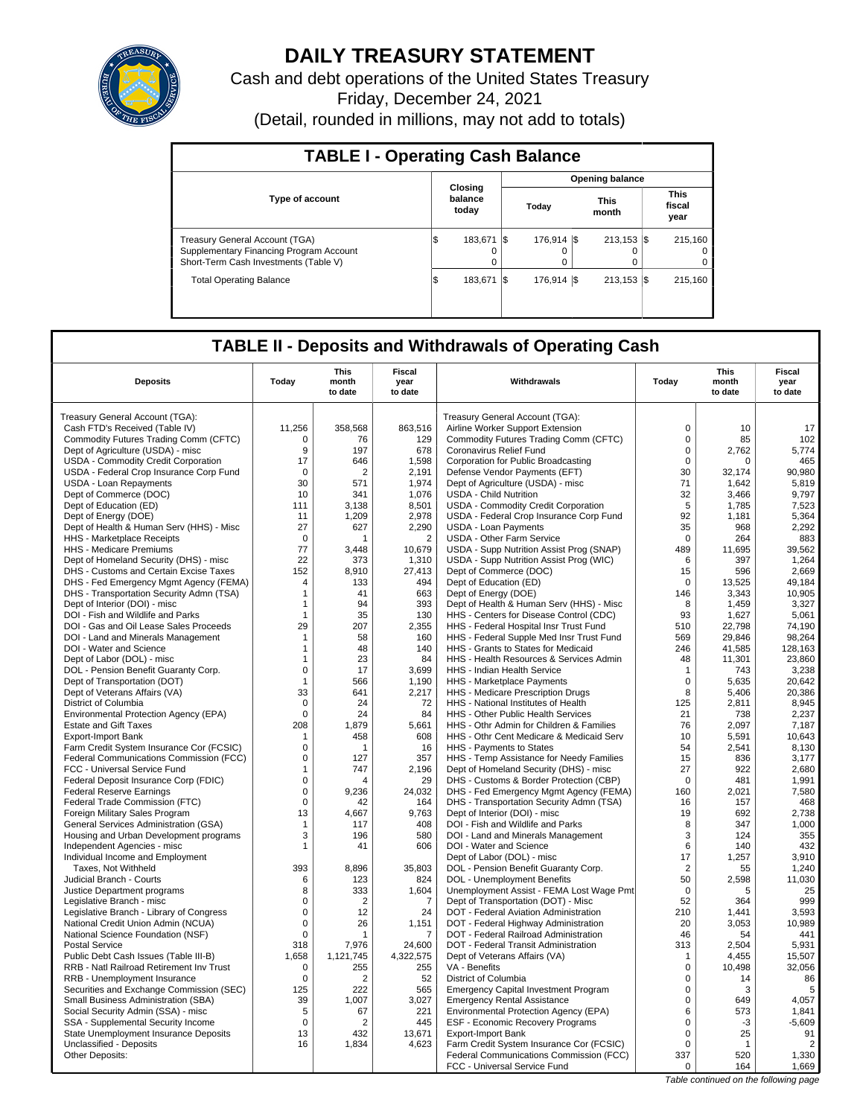

# **DAILY TREASURY STATEMENT**

Cash and debt operations of the United States Treasury Friday, December 24, 2021 (Detail, rounded in millions, may not add to totals)

| <b>TABLE I - Operating Cash Balance</b>                                                                            |                             |           |  |                   |  |                                |  |                               |  |  |  |
|--------------------------------------------------------------------------------------------------------------------|-----------------------------|-----------|--|-------------------|--|--------------------------------|--|-------------------------------|--|--|--|
|                                                                                                                    |                             |           |  |                   |  | <b>Opening balance</b>         |  |                               |  |  |  |
| <b>Type of account</b>                                                                                             | Closing<br>balance<br>today |           |  | Today             |  | <b>This</b><br>month           |  | <b>This</b><br>fiscal<br>year |  |  |  |
| Treasury General Account (TGA)<br>Supplementary Financing Program Account<br>Short-Term Cash Investments (Table V) |                             | 183.671 S |  | 176.914   \$<br>0 |  | $213.153$ $\sqrt{5}$<br>0<br>0 |  | 215.160<br>0<br>0             |  |  |  |
| <b>Total Operating Balance</b>                                                                                     |                             | 183.671 S |  | 176.914   \$      |  | $213.153$ S                    |  | 215.160                       |  |  |  |

## **TABLE II - Deposits and Withdrawals of Operating Cash**

| <b>Deposits</b>                                                                | Today          | This<br>month<br>to date | Fiscal<br>year<br>to date | Withdrawals                                                                  | Today          | <b>This</b><br>month<br>to date | <b>Fiscal</b><br>year<br>to date |
|--------------------------------------------------------------------------------|----------------|--------------------------|---------------------------|------------------------------------------------------------------------------|----------------|---------------------------------|----------------------------------|
| Treasury General Account (TGA):                                                |                |                          |                           | Treasury General Account (TGA):                                              |                |                                 |                                  |
| Cash FTD's Received (Table IV)                                                 | 11,256         | 358,568                  | 863,516                   | Airline Worker Support Extension                                             | $\mathbf 0$    | 10                              | 17                               |
| Commodity Futures Trading Comm (CFTC)                                          | 0              | 76                       | 129                       | Commodity Futures Trading Comm (CFTC)                                        | $\mathbf 0$    | 85                              | 102                              |
| Dept of Agriculture (USDA) - misc                                              | 9              | 197                      | 678                       | Coronavirus Relief Fund                                                      | $\mathbf 0$    | 2.762                           | 5.774                            |
| USDA - Commodity Credit Corporation                                            | 17             | 646                      | 1.598                     | Corporation for Public Broadcasting                                          | $\mathbf 0$    | $\Omega$                        | 465                              |
| USDA - Federal Crop Insurance Corp Fund                                        | $\mathbf 0$    | $\overline{2}$           | 2.191                     | Defense Vendor Payments (EFT)                                                | 30             | 32.174                          | 90.980                           |
| <b>USDA - Loan Repayments</b>                                                  | 30             | 571                      | 1,974                     | Dept of Agriculture (USDA) - misc                                            | 71             | 1,642                           | 5,819                            |
| Dept of Commerce (DOC)                                                         | 10             | 341                      | 1,076                     | <b>USDA - Child Nutrition</b>                                                | 32             | 3,466                           | 9,797                            |
| Dept of Education (ED)                                                         | 111            | 3,138                    | 8,501                     | USDA - Commodity Credit Corporation                                          | 5              | 1,785                           | 7,523                            |
| Dept of Energy (DOE)                                                           | 11             | 1,209                    | 2,978                     | USDA - Federal Crop Insurance Corp Fund                                      | 92             | 1,181                           | 5,364                            |
| Dept of Health & Human Serv (HHS) - Misc                                       | 27             | 627                      | 2,290                     | <b>USDA - Loan Payments</b>                                                  | 35             | 968                             | 2,292                            |
| HHS - Marketplace Receipts                                                     | $\mathbf 0$    | 1                        | $\overline{2}$            | <b>USDA - Other Farm Service</b>                                             | $\mathbf 0$    | 264                             | 883                              |
| <b>HHS - Medicare Premiums</b>                                                 | 77             | 3.448                    | 10,679                    | USDA - Supp Nutrition Assist Prog (SNAP)                                     | 489            | 11.695                          | 39,562                           |
| Dept of Homeland Security (DHS) - misc                                         | 22             | 373                      | 1,310                     | USDA - Supp Nutrition Assist Prog (WIC)                                      | 6              | 397                             | 1,264                            |
| DHS - Customs and Certain Excise Taxes                                         | 152            | 8,910                    | 27,413                    | Dept of Commerce (DOC)                                                       | 15             | 596                             | 2,669                            |
| DHS - Fed Emergency Mgmt Agency (FEMA)                                         | $\overline{4}$ | 133                      | 494                       | Dept of Education (ED)                                                       | $\Omega$       | 13,525                          | 49,184                           |
| DHS - Transportation Security Admn (TSA)                                       | $\mathbf{1}$   | 41                       | 663                       | Dept of Energy (DOE)                                                         | 146            | 3.343                           | 10.905                           |
| Dept of Interior (DOI) - misc                                                  | $\mathbf{1}$   | 94                       | 393                       | Dept of Health & Human Serv (HHS) - Misc                                     | 8              | 1,459                           | 3,327                            |
| DOI - Fish and Wildlife and Parks                                              | $\mathbf{1}$   | 35                       | 130                       | HHS - Centers for Disease Control (CDC)                                      | 93             | 1,627                           | 5,061                            |
| DOI - Gas and Oil Lease Sales Proceeds                                         | 29             | 207                      | 2,355                     | HHS - Federal Hospital Insr Trust Fund                                       | 510            | 22,798                          | 74,190                           |
| DOI - Land and Minerals Management                                             | $\mathbf{1}$   | 58                       | 160                       | HHS - Federal Supple Med Insr Trust Fund                                     | 569            | 29,846                          | 98,264                           |
| DOI - Water and Science                                                        | $\mathbf{1}$   | 48                       | 140                       | HHS - Grants to States for Medicaid                                          | 246            | 41,585                          | 128,163                          |
| Dept of Labor (DOL) - misc                                                     | $\mathbf{1}$   | 23                       | 84                        | HHS - Health Resources & Services Admin                                      | 48             | 11,301                          | 23,860                           |
| DOL - Pension Benefit Guaranty Corp.                                           | $\mathbf 0$    | 17                       | 3.699                     | <b>HHS - Indian Health Service</b>                                           | $\mathbf{1}$   | 743                             | 3,238                            |
| Dept of Transportation (DOT)                                                   | $\mathbf{1}$   | 566                      | 1,190                     | HHS - Marketplace Payments                                                   | 0              | 5,635                           | 20,642                           |
| Dept of Veterans Affairs (VA)                                                  | 33             | 641                      | 2,217                     | HHS - Medicare Prescription Drugs                                            | 8              | 5.406                           | 20.386                           |
| District of Columbia                                                           | $\mathbf 0$    | 24                       | 72                        | HHS - National Institutes of Health                                          | 125            | 2,811                           | 8,945                            |
| Environmental Protection Agency (EPA)                                          | $\Omega$       | 24                       | 84                        | <b>HHS - Other Public Health Services</b>                                    | 21             | 738                             | 2.237                            |
| <b>Estate and Gift Taxes</b>                                                   | 208            | 1,879                    | 5,661                     | HHS - Othr Admin for Children & Families                                     | 76             | 2,097                           | 7,187                            |
| <b>Export-Import Bank</b>                                                      | -1             | 458                      | 608                       | HHS - Othr Cent Medicare & Medicaid Serv                                     | 10             | 5.591                           | 10.643                           |
| Farm Credit System Insurance Cor (FCSIC)                                       | $\mathbf 0$    | 1                        | 16                        | HHS - Payments to States                                                     | 54             | 2,541                           | 8,130                            |
| Federal Communications Commission (FCC)                                        | $\mathsf 0$    | 127                      | 357                       | HHS - Temp Assistance for Needy Families                                     | 15             | 836                             | 3,177                            |
| FCC - Universal Service Fund                                                   | $\mathbf{1}$   | 747                      | 2.196                     | Dept of Homeland Security (DHS) - misc                                       | 27             | 922                             | 2.680                            |
| Federal Deposit Insurance Corp (FDIC)                                          | $\mathsf 0$    | Δ                        | 29                        | DHS - Customs & Border Protection (CBP)                                      | $\mathbf 0$    | 481                             | 1,991                            |
| <b>Federal Reserve Earnings</b>                                                | $\mathbf 0$    | 9.236                    | 24.032                    | DHS - Fed Emergency Mgmt Agency (FEMA)                                       | 160            | 2.021                           | 7,580                            |
| Federal Trade Commission (FTC)                                                 | $\mathsf 0$    | 42                       | 164                       | DHS - Transportation Security Admn (TSA)                                     | 16             | 157                             | 468                              |
| Foreign Military Sales Program                                                 | 13             | 4.667                    | 9,763                     | Dept of Interior (DOI) - misc                                                | 19             | 692                             | 2,738                            |
| General Services Administration (GSA)                                          | $\mathbf{1}$   | 117                      | 408                       | DOI - Fish and Wildlife and Parks                                            | 8              | 347                             | 1,000                            |
| Housing and Urban Development programs                                         | 3              | 196                      | 580                       | DOI - Land and Minerals Management                                           | 3              | 124                             | 355                              |
| Independent Agencies - misc                                                    | $\mathbf{1}$   | 41                       | 606                       | DOI - Water and Science                                                      | 6              | 140                             | 432                              |
| Individual Income and Employment                                               |                |                          |                           | Dept of Labor (DOL) - misc                                                   | 17             | 1,257                           | 3,910                            |
| Taxes. Not Withheld                                                            | 393            | 8.896                    | 35,803                    | DOL - Pension Benefit Guaranty Corp.                                         | 2              | 55                              | 1,240                            |
| Judicial Branch - Courts                                                       | 6<br>8         | 123                      | 824                       | DOL - Unemployment Benefits                                                  | 50<br>$\Omega$ | 2,598                           | 11,030                           |
| Justice Department programs                                                    | $\mathsf 0$    | 333<br>$\overline{2}$    | 1,604                     | Unemployment Assist - FEMA Lost Wage Pmt                                     | 52             | 5                               | 25<br>999                        |
| Legislative Branch - misc                                                      | $\mathbf 0$    | 12                       | 7<br>24                   | Dept of Transportation (DOT) - Misc<br>DOT - Federal Aviation Administration | 210            | 364<br>1.441                    | 3,593                            |
| Legislative Branch - Library of Congress<br>National Credit Union Admin (NCUA) | $\mathsf 0$    | 26                       |                           | DOT - Federal Highway Administration                                         | 20             | 3,053                           | 10,989                           |
| National Science Foundation (NSF)                                              | $\Omega$       | 1                        | 1,151<br>7                | DOT - Federal Railroad Administration                                        | 46             | 54                              | 441                              |
| <b>Postal Service</b>                                                          | 318            | 7,976                    | 24.600                    | DOT - Federal Transit Administration                                         | 313            | 2,504                           | 5,931                            |
| Public Debt Cash Issues (Table III-B)                                          | 1,658          | 1,121,745                | 4,322,575                 | Dept of Veterans Affairs (VA)                                                | 1              | 4,455                           | 15,507                           |
| RRB - Natl Railroad Retirement Inv Trust                                       | $\mathbf 0$    | 255                      | 255                       | VA - Benefits                                                                | $\mathbf 0$    | 10,498                          | 32,056                           |
| RRB - Unemployment Insurance                                                   | $\mathbf 0$    | $\overline{2}$           | 52                        | District of Columbia                                                         | $\mathbf 0$    | 14                              | 86                               |
| Securities and Exchange Commission (SEC)                                       | 125            | 222                      | 565                       | <b>Emergency Capital Investment Program</b>                                  | $\mathsf 0$    | 3                               | 5                                |
| Small Business Administration (SBA)                                            | 39             | 1,007                    | 3,027                     | <b>Emergency Rental Assistance</b>                                           | 0              | 649                             | 4,057                            |
| Social Security Admin (SSA) - misc                                             | 5              | 67                       | 221                       | Environmental Protection Agency (EPA)                                        | 6              | 573                             | 1,841                            |
| SSA - Supplemental Security Income                                             | $\mathsf 0$    | 2                        | 445                       | ESF - Economic Recovery Programs                                             | 0              | -3                              | $-5,609$                         |
| State Unemployment Insurance Deposits                                          | 13             | 432                      | 13,671                    | <b>Export-Import Bank</b>                                                    | $\mathsf 0$    | 25                              | 91                               |
| Unclassified - Deposits                                                        | 16             | 1,834                    | 4,623                     | Farm Credit System Insurance Cor (FCSIC)                                     | $\mathbf 0$    | $\mathbf{1}$                    | $\overline{2}$                   |
| <b>Other Deposits:</b>                                                         |                |                          |                           | Federal Communications Commission (FCC)                                      | 337            | 520                             | 1,330                            |
|                                                                                |                |                          |                           | FCC - Universal Service Fund                                                 | $\mathbf 0$    | 164                             | 1,669                            |
|                                                                                |                |                          |                           |                                                                              |                |                                 |                                  |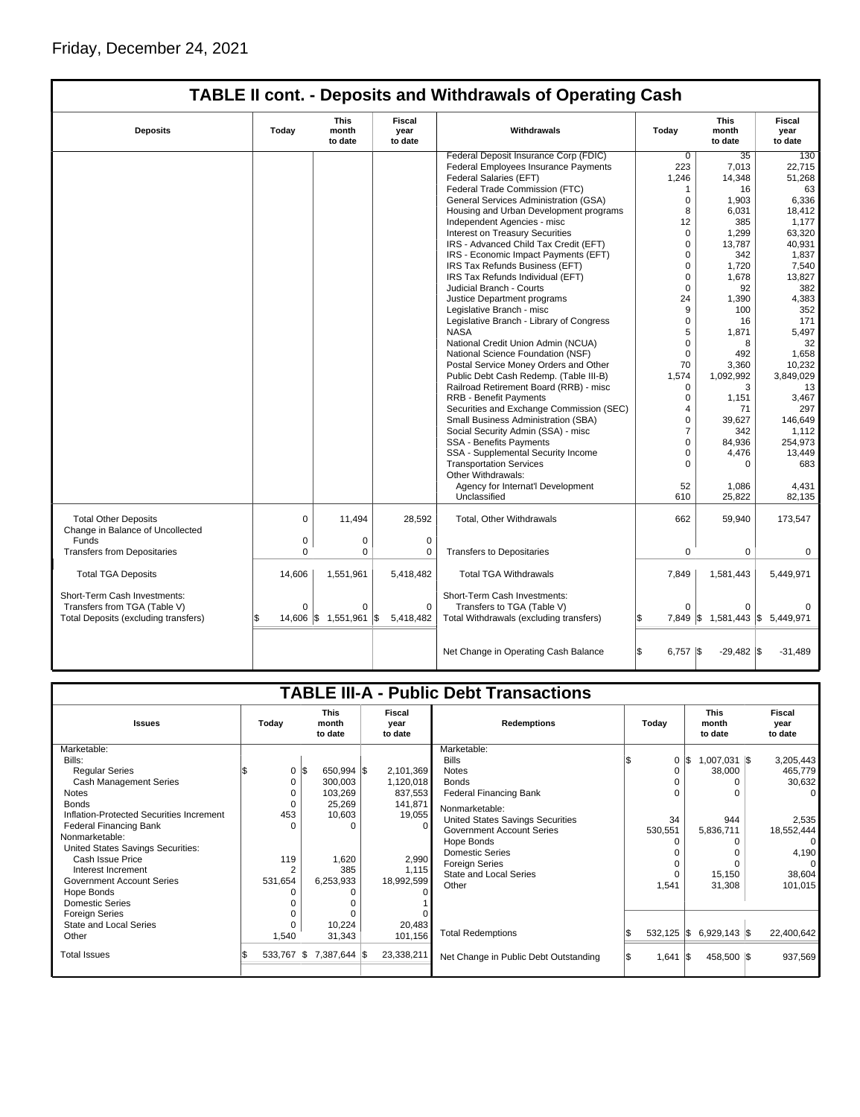|                                                                 |             |                                 |                           | <b>TABLE II cont. - Deposits and Withdrawals of Operating Cash</b> |                  |                                 |                                  |
|-----------------------------------------------------------------|-------------|---------------------------------|---------------------------|--------------------------------------------------------------------|------------------|---------------------------------|----------------------------------|
| <b>Deposits</b>                                                 | Today       | <b>This</b><br>month<br>to date | Fiscal<br>year<br>to date | Withdrawals                                                        | Today            | <b>This</b><br>month<br>to date | <b>Fiscal</b><br>year<br>to date |
|                                                                 |             |                                 |                           | Federal Deposit Insurance Corp (FDIC)                              | $\overline{0}$   | 35                              | 130                              |
|                                                                 |             |                                 |                           | Federal Employees Insurance Payments                               | 223              | 7,013                           | 22,715                           |
|                                                                 |             |                                 |                           | Federal Salaries (EFT)                                             | 1,246            | 14.348                          | 51,268                           |
|                                                                 |             |                                 |                           | Federal Trade Commission (FTC)                                     | 1                | 16                              | 63                               |
|                                                                 |             |                                 |                           | General Services Administration (GSA)                              | $\mathbf 0$      | 1,903                           | 6,336                            |
|                                                                 |             |                                 |                           | Housing and Urban Development programs                             | 8                | 6,031                           | 18,412                           |
|                                                                 |             |                                 |                           | Independent Agencies - misc                                        | 12               | 385                             | 1,177                            |
|                                                                 |             |                                 |                           | <b>Interest on Treasury Securities</b>                             | $\Omega$         | 1,299                           | 63,320                           |
|                                                                 |             |                                 |                           | IRS - Advanced Child Tax Credit (EFT)                              | $\Omega$         | 13,787                          | 40,931                           |
|                                                                 |             |                                 |                           | IRS - Economic Impact Payments (EFT)                               | $\Omega$         | 342                             | 1,837                            |
|                                                                 |             |                                 |                           | IRS Tax Refunds Business (EFT)                                     | $\mathbf 0$      | 1,720                           | 7,540                            |
|                                                                 |             |                                 |                           | IRS Tax Refunds Individual (EFT)                                   | 0                | 1,678                           | 13,827                           |
|                                                                 |             |                                 |                           |                                                                    |                  |                                 |                                  |
|                                                                 |             |                                 |                           | Judicial Branch - Courts                                           | $\mathbf 0$      | 92                              | 382                              |
|                                                                 |             |                                 |                           | Justice Department programs                                        | 24               | 1,390                           | 4,383                            |
|                                                                 |             |                                 |                           | Legislative Branch - misc                                          | 9                | 100                             | 352                              |
|                                                                 |             |                                 |                           | Legislative Branch - Library of Congress                           | $\Omega$         | 16                              | 171                              |
|                                                                 |             |                                 |                           | <b>NASA</b>                                                        | 5                | 1,871                           | 5,497                            |
|                                                                 |             |                                 |                           | National Credit Union Admin (NCUA)                                 | $\Omega$         | 8                               | 32                               |
|                                                                 |             |                                 |                           | National Science Foundation (NSF)                                  | $\mathbf 0$      | 492                             | 1.658                            |
|                                                                 |             |                                 |                           | Postal Service Money Orders and Other                              | 70               | 3,360                           | 10,232                           |
|                                                                 |             |                                 |                           | Public Debt Cash Redemp. (Table III-B)                             | 1,574            | 1,092,992                       | 3,849,029                        |
|                                                                 |             |                                 |                           | Railroad Retirement Board (RRB) - misc                             | $\Omega$         | 3                               | 13                               |
|                                                                 |             |                                 |                           | <b>RRB - Benefit Payments</b>                                      | $\Omega$         | 1,151                           | 3,467                            |
|                                                                 |             |                                 |                           | Securities and Exchange Commission (SEC)                           | $\overline{4}$   | 71                              | 297                              |
|                                                                 |             |                                 |                           | Small Business Administration (SBA)                                | $\Omega$         | 39,627                          | 146,649                          |
|                                                                 |             |                                 |                           | Social Security Admin (SSA) - misc                                 | $\overline{7}$   | 342                             | 1.112                            |
|                                                                 |             |                                 |                           | <b>SSA - Benefits Payments</b>                                     | $\mathbf 0$      | 84,936                          | 254,973                          |
|                                                                 |             |                                 |                           | SSA - Supplemental Security Income                                 | 0                | 4,476                           | 13,449                           |
|                                                                 |             |                                 |                           | <b>Transportation Services</b>                                     | $\Omega$         | $\Omega$                        | 683                              |
|                                                                 |             |                                 |                           | Other Withdrawals:                                                 |                  |                                 |                                  |
|                                                                 |             |                                 |                           | Agency for Internat'l Development                                  | 52               | 1,086                           | 4,431                            |
|                                                                 |             |                                 |                           | Unclassified                                                       | 610              | 25,822                          | 82,135                           |
| <b>Total Other Deposits</b><br>Change in Balance of Uncollected | 0           | 11,494                          | 28,592                    | Total, Other Withdrawals                                           | 662              | 59,940                          | 173,547                          |
| Funds                                                           | 0           | 0                               | $\mathbf 0$               |                                                                    |                  |                                 |                                  |
| <b>Transfers from Depositaries</b>                              | $\mathbf 0$ | 0                               | 0                         | <b>Transfers to Depositaries</b>                                   | $\mathbf 0$      | 0                               | 0                                |
| <b>Total TGA Deposits</b>                                       | 14,606      | 1,551,961                       | 5,418,482                 | <b>Total TGA Withdrawals</b>                                       | 7,849            | 1,581,443                       | 5,449,971                        |
| Short-Term Cash Investments:                                    |             |                                 |                           | Short-Term Cash Investments:                                       |                  |                                 |                                  |
| Transfers from TGA (Table V)                                    | $\Omega$    | 0                               | $\mathbf 0$               | Transfers to TGA (Table V)                                         | $\Omega$         | 0                               |                                  |
| Total Deposits (excluding transfers)                            |             | 14,606 \$ 1,551,961             | 5,418,482<br>1\$          | Total Withdrawals (excluding transfers)                            |                  | 7,849 \$ 1,581,443 \$ 5,449,971 |                                  |
|                                                                 |             |                                 |                           |                                                                    |                  |                                 |                                  |
|                                                                 |             |                                 |                           | Net Change in Operating Cash Balance                               | \$<br>$6,757$ \$ | $-29,482$ \$                    | $-31,489$                        |

| <b>TABLE III-A - Public Debt Transactions</b> |                |                                           |                                   |                            |                                       |                                                                                                                                                                                                                                                               |          |                                                            |                                  |                                                |                                                         |  |  |  |  |  |  |  |  |  |  |  |  |  |  |  |  |  |  |  |  |  |  |  |  |  |                                 |  |                           |
|-----------------------------------------------|----------------|-------------------------------------------|-----------------------------------|----------------------------|---------------------------------------|---------------------------------------------------------------------------------------------------------------------------------------------------------------------------------------------------------------------------------------------------------------|----------|------------------------------------------------------------|----------------------------------|------------------------------------------------|---------------------------------------------------------|--|--|--|--|--|--|--|--|--|--|--|--|--|--|--|--|--|--|--|--|--|--|--|--|--|---------------------------------|--|---------------------------|
| Today                                         |                | <b>This</b><br>month<br>to date           |                                   | Fiscal<br>year<br>to date  | <b>Redemptions</b>                    | Today                                                                                                                                                                                                                                                         |          |                                                            |                                  |                                                |                                                         |  |  |  |  |  |  |  |  |  |  |  |  |  |  |  |  |  |  |  |  |  |  |  |  |  | <b>This</b><br>month<br>to date |  | Fiscal<br>year<br>to date |
|                                               |                |                                           |                                   |                            | Marketable:                           |                                                                                                                                                                                                                                                               |          |                                                            |                                  |                                                |                                                         |  |  |  |  |  |  |  |  |  |  |  |  |  |  |  |  |  |  |  |  |  |  |  |  |  |                                 |  |                           |
|                                               |                |                                           |                                   |                            |                                       |                                                                                                                                                                                                                                                               |          |                                                            |                                  |                                                | 3,205,443                                               |  |  |  |  |  |  |  |  |  |  |  |  |  |  |  |  |  |  |  |  |  |  |  |  |  |                                 |  |                           |
|                                               |                |                                           |                                   | 2,101,369                  |                                       |                                                                                                                                                                                                                                                               | $\Omega$ |                                                            |                                  |                                                | 465,779                                                 |  |  |  |  |  |  |  |  |  |  |  |  |  |  |  |  |  |  |  |  |  |  |  |  |  |                                 |  |                           |
|                                               | 0              | 300,003                                   |                                   | 1,120,018                  | <b>Bonds</b>                          |                                                                                                                                                                                                                                                               | 0        |                                                            |                                  |                                                | 30,632                                                  |  |  |  |  |  |  |  |  |  |  |  |  |  |  |  |  |  |  |  |  |  |  |  |  |  |                                 |  |                           |
|                                               | 0              | 103,269                                   |                                   | 837,553                    | <b>Federal Financing Bank</b>         |                                                                                                                                                                                                                                                               | 0        |                                                            |                                  |                                                | $\Omega$                                                |  |  |  |  |  |  |  |  |  |  |  |  |  |  |  |  |  |  |  |  |  |  |  |  |  |                                 |  |                           |
|                                               | $\Omega$       | 25,269                                    |                                   | 141,871                    |                                       |                                                                                                                                                                                                                                                               |          |                                                            |                                  |                                                |                                                         |  |  |  |  |  |  |  |  |  |  |  |  |  |  |  |  |  |  |  |  |  |  |  |  |  |                                 |  |                           |
|                                               |                |                                           |                                   |                            |                                       |                                                                                                                                                                                                                                                               |          |                                                            |                                  |                                                | 2,535                                                   |  |  |  |  |  |  |  |  |  |  |  |  |  |  |  |  |  |  |  |  |  |  |  |  |  |                                 |  |                           |
|                                               | $\Omega$       |                                           |                                   | $\Omega$                   |                                       |                                                                                                                                                                                                                                                               |          |                                                            |                                  |                                                | 18,552,444                                              |  |  |  |  |  |  |  |  |  |  |  |  |  |  |  |  |  |  |  |  |  |  |  |  |  |                                 |  |                           |
|                                               |                |                                           |                                   |                            |                                       |                                                                                                                                                                                                                                                               |          |                                                            |                                  |                                                | $\overline{0}$                                          |  |  |  |  |  |  |  |  |  |  |  |  |  |  |  |  |  |  |  |  |  |  |  |  |  |                                 |  |                           |
|                                               |                |                                           |                                   |                            |                                       |                                                                                                                                                                                                                                                               |          |                                                            |                                  |                                                | 4,190                                                   |  |  |  |  |  |  |  |  |  |  |  |  |  |  |  |  |  |  |  |  |  |  |  |  |  |                                 |  |                           |
|                                               |                | 1,620                                     |                                   | 2,990                      |                                       |                                                                                                                                                                                                                                                               |          |                                                            |                                  |                                                | $\Omega$                                                |  |  |  |  |  |  |  |  |  |  |  |  |  |  |  |  |  |  |  |  |  |  |  |  |  |                                 |  |                           |
|                                               | $\overline{2}$ | 385                                       |                                   | 1.115                      |                                       |                                                                                                                                                                                                                                                               |          |                                                            |                                  |                                                | 38,604                                                  |  |  |  |  |  |  |  |  |  |  |  |  |  |  |  |  |  |  |  |  |  |  |  |  |  |                                 |  |                           |
|                                               |                | 6,253,933                                 |                                   | 18,992,599                 |                                       |                                                                                                                                                                                                                                                               |          |                                                            |                                  |                                                | 101,015                                                 |  |  |  |  |  |  |  |  |  |  |  |  |  |  |  |  |  |  |  |  |  |  |  |  |  |                                 |  |                           |
|                                               |                |                                           |                                   |                            |                                       |                                                                                                                                                                                                                                                               |          |                                                            |                                  |                                                |                                                         |  |  |  |  |  |  |  |  |  |  |  |  |  |  |  |  |  |  |  |  |  |  |  |  |  |                                 |  |                           |
|                                               |                |                                           |                                   |                            |                                       |                                                                                                                                                                                                                                                               |          |                                                            |                                  |                                                |                                                         |  |  |  |  |  |  |  |  |  |  |  |  |  |  |  |  |  |  |  |  |  |  |  |  |  |                                 |  |                           |
|                                               |                |                                           |                                   |                            |                                       |                                                                                                                                                                                                                                                               |          |                                                            |                                  |                                                |                                                         |  |  |  |  |  |  |  |  |  |  |  |  |  |  |  |  |  |  |  |  |  |  |  |  |  |                                 |  |                           |
|                                               | $\Omega$       | 10,224                                    |                                   | 20,483                     |                                       |                                                                                                                                                                                                                                                               |          |                                                            |                                  |                                                |                                                         |  |  |  |  |  |  |  |  |  |  |  |  |  |  |  |  |  |  |  |  |  |  |  |  |  |                                 |  |                           |
|                                               |                | 31,343                                    |                                   | 101,156                    |                                       |                                                                                                                                                                                                                                                               |          |                                                            |                                  |                                                | 22,400,642                                              |  |  |  |  |  |  |  |  |  |  |  |  |  |  |  |  |  |  |  |  |  |  |  |  |  |                                 |  |                           |
|                                               |                |                                           |                                   | 23,338,211                 | Net Change in Public Debt Outstanding |                                                                                                                                                                                                                                                               | 1,641    | IS.                                                        |                                  |                                                | 937,569                                                 |  |  |  |  |  |  |  |  |  |  |  |  |  |  |  |  |  |  |  |  |  |  |  |  |  |                                 |  |                           |
|                                               |                | 453<br>119<br>531,654<br>1,540<br>533,767 | $0 \,$ $\upbeta$<br>10,603<br>1\$ | 650,994 \$<br>7,387,644 \$ | 19,055                                | <b>Bills</b><br><b>Notes</b><br>Nonmarketable:<br>United States Savings Securities<br><b>Government Account Series</b><br>Hope Bonds<br><b>Domestic Series</b><br><b>Foreign Series</b><br><b>State and Local Series</b><br>Other<br><b>Total Redemptions</b> |          | 34<br>530,551<br>$\Omega$<br>$\Omega$<br>$\Omega$<br>1,541 | $0 \,$ $\upbeta$<br>$532,125$ \$ | 38,000<br>944<br>5,836,711<br>15,150<br>31,308 | $1,007,031$ \\$<br>$6,929,143$ $\sqrt{5}$<br>458,500 \$ |  |  |  |  |  |  |  |  |  |  |  |  |  |  |  |  |  |  |  |  |  |  |  |  |  |                                 |  |                           |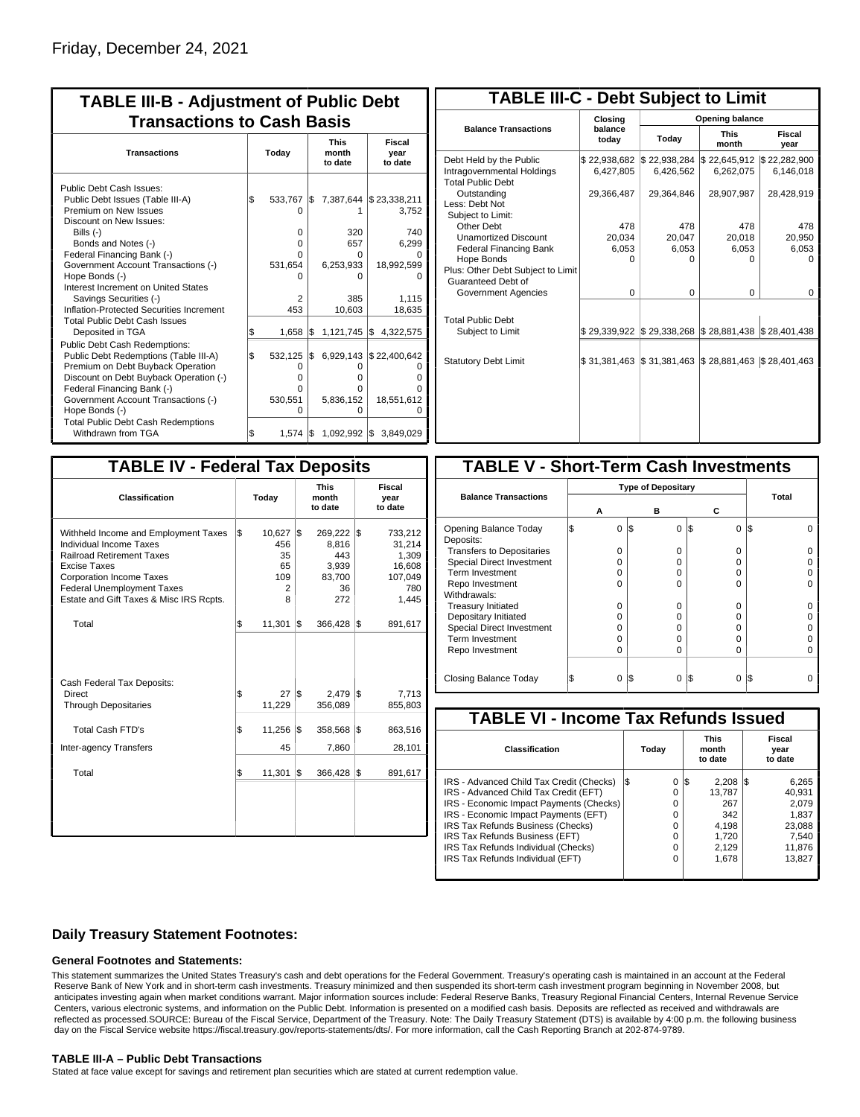| <b>TABLE III-B - Adjustment of Public Debt</b><br><b>Transactions to Cash Basis</b>                                                                                                                                                                                                                                                                          |          |                                                        |            |                                                                 |                                                                        |  |  |  |  |  |
|--------------------------------------------------------------------------------------------------------------------------------------------------------------------------------------------------------------------------------------------------------------------------------------------------------------------------------------------------------------|----------|--------------------------------------------------------|------------|-----------------------------------------------------------------|------------------------------------------------------------------------|--|--|--|--|--|
| <b>Transactions</b>                                                                                                                                                                                                                                                                                                                                          | Today    |                                                        |            | <b>This</b><br>month<br>to date                                 | Fiscal<br>year<br>to date                                              |  |  |  |  |  |
| Public Debt Cash Issues:<br>Public Debt Issues (Table III-A)<br>Premium on New Issues<br>Discount on New Issues:<br>Bills (-)<br>Bonds and Notes (-)<br>Federal Financing Bank (-)<br>Government Account Transactions (-)<br>Hope Bonds (-)<br>Interest Increment on United States<br>Savings Securities (-)<br>Inflation-Protected Securities Increment     | l\$      | 533,767<br>0<br>0<br>0<br>U<br>531,654<br>2<br>453     | I\$        | 7,387,644<br>320<br>657<br>O<br>6,253,933<br>ŋ<br>385<br>10,603 | \$23,338,211<br>3,752<br>740<br>6,299<br>18,992,599<br>1,115<br>18,635 |  |  |  |  |  |
| <b>Total Public Debt Cash Issues</b><br>Deposited in TGA<br><b>Public Debt Cash Redemptions:</b><br>Public Debt Redemptions (Table III-A)<br>Premium on Debt Buyback Operation<br>Discount on Debt Buyback Operation (-)<br>Federal Financing Bank (-)<br>Government Account Transactions (-)<br>Hope Bonds (-)<br><b>Total Public Debt Cash Redemptions</b> | \$<br>\$ | 1,658<br>532,125<br>$\Omega$<br>0<br>0<br>530,551<br>O | l\$<br>I\$ | $1,121,745$ \$<br>6,929,143<br>O<br>0<br>0<br>5,836,152<br>0    | 4,322,575<br>\$22,400,642<br>n<br>18,551,612                           |  |  |  |  |  |
| Withdrawn from TGA                                                                                                                                                                                                                                                                                                                                           | \$       | $1,574$ $\sqrt{5}$                                     |            |                                                                 | 1,092,992 \$ 3,849,029                                                 |  |  |  |  |  |

| <b>TABLE III-C - Debt Subject to Limit</b>                                        |                           |                           |                           |                           |  |  |  |  |  |  |  |
|-----------------------------------------------------------------------------------|---------------------------|---------------------------|---------------------------|---------------------------|--|--|--|--|--|--|--|
|                                                                                   | Closina                   | Opening balance           |                           |                           |  |  |  |  |  |  |  |
| <b>Balance Transactions</b>                                                       | balance<br>today          | Today                     | <b>This</b><br>month      | Fiscal<br>year            |  |  |  |  |  |  |  |
| Debt Held by the Public<br>Intragovernmental Holdings<br><b>Total Public Debt</b> | \$22,938,682<br>6,427,805 | \$22,938,284<br>6,426,562 | \$22,645,912<br>6,262,075 | \$22,282,900<br>6,146,018 |  |  |  |  |  |  |  |
| Outstanding<br>Less: Debt Not<br>Subject to Limit:                                | 29,366,487                | 29,364,846                | 28,907,987                | 28,428,919                |  |  |  |  |  |  |  |
| Other Debt                                                                        | 478                       | 478                       | 478                       | 478                       |  |  |  |  |  |  |  |
| <b>Unamortized Discount</b>                                                       | 20.034                    | 20,047                    | 20,018                    | 20,950                    |  |  |  |  |  |  |  |
| <b>Federal Financing Bank</b>                                                     | 6,053                     | 6,053                     | 6,053                     | 6,053                     |  |  |  |  |  |  |  |
| Hope Bonds                                                                        | O                         | O                         | n                         | O                         |  |  |  |  |  |  |  |
| Plus: Other Debt Subject to Limit<br>Guaranteed Debt of                           |                           |                           |                           |                           |  |  |  |  |  |  |  |
| Government Agencies                                                               | $\Omega$                  | 0                         | $\Omega$                  | 0                         |  |  |  |  |  |  |  |
| <b>Total Public Debt</b><br>Subject to Limit                                      | \$29,339,922              | \$29,338,268              | \$28,881,438              | \$28,401,438              |  |  |  |  |  |  |  |
|                                                                                   |                           |                           |                           |                           |  |  |  |  |  |  |  |
| <b>Statutory Debt Limit</b>                                                       | \$31,381,463              | \$31,381,463              | \$28,881,463              | \$28,401,463              |  |  |  |  |  |  |  |
|                                                                                   |                           |                           |                           |                           |  |  |  |  |  |  |  |

| <b>TABLE IV - Federal Tax Deposits</b>                                                                                                                                                                                                        |       |                                            |     |                                                         |     |                                                                 |
|-----------------------------------------------------------------------------------------------------------------------------------------------------------------------------------------------------------------------------------------------|-------|--------------------------------------------|-----|---------------------------------------------------------|-----|-----------------------------------------------------------------|
| <b>Classification</b>                                                                                                                                                                                                                         | Today |                                            |     | <b>This</b><br>month<br>to date                         |     | Fiscal<br>year<br>to date                                       |
| Withheld Income and Employment Taxes<br>Individual Income Taxes<br><b>Railroad Retirement Taxes</b><br><b>Excise Taxes</b><br><b>Corporation Income Taxes</b><br><b>Federal Unemployment Taxes</b><br>Estate and Gift Taxes & Misc IRS Rcpts. | l\$   | 10,627<br>456<br>35<br>65<br>109<br>2<br>8 | l\$ | 269,222<br>8.816<br>443<br>3,939<br>83,700<br>36<br>272 | l\$ | 733,212<br>31,214<br>1,309<br>16,608<br>107,049<br>780<br>1,445 |
| Total                                                                                                                                                                                                                                         | \$    | 11,301                                     | 1\$ | 366,428                                                 | 1\$ | 891,617                                                         |
| Cash Federal Tax Deposits:<br><b>Direct</b><br><b>Through Depositaries</b>                                                                                                                                                                    | \$    | 27<br>11,229                               | l\$ | 2,479<br>356,089                                        | l\$ | 7,713<br>855,803                                                |
| <b>Total Cash FTD's</b>                                                                                                                                                                                                                       | \$    | 11,256                                     | l\$ | 358,568                                                 | l\$ | 863,516                                                         |
| <b>Inter-agency Transfers</b><br>Total                                                                                                                                                                                                        | \$    | 45<br>11,301                               | l\$ | 7,860<br>366,428                                        | 1\$ | 28,101<br>891,617                                               |
|                                                                                                                                                                                                                                               |       |                                            |     |                                                         |     |                                                                 |

| <b>TABLE V - Short-Term Cash Investments</b> |   |   |     |   |          |     |       |  |  |  |  |
|----------------------------------------------|---|---|-----|---|----------|-----|-------|--|--|--|--|
|                                              |   |   |     |   |          |     |       |  |  |  |  |
| <b>Balance Transactions</b>                  | А |   |     | в | С        |     | Total |  |  |  |  |
| Opening Balance Today<br>Deposits:           |   | 0 | I\$ | 0 | 1\$<br>0 | l\$ |       |  |  |  |  |
| <b>Transfers to Depositaries</b>             |   | O |     | n | 0        |     |       |  |  |  |  |
| Special Direct Investment                    |   | Ω |     | Ω | 0        |     |       |  |  |  |  |
| Term Investment                              |   | O |     | Ω | 0        |     |       |  |  |  |  |
| Repo Investment                              |   | n |     | n | U        |     |       |  |  |  |  |
| Withdrawals:                                 |   |   |     |   |          |     |       |  |  |  |  |
| <b>Treasury Initiated</b>                    |   | O |     | O | 0        |     |       |  |  |  |  |
| Depositary Initiated                         |   | Ω |     | Ω | $\Omega$ |     |       |  |  |  |  |
| <b>Special Direct Investment</b>             |   | Ω |     | Ω | U        |     |       |  |  |  |  |
| <b>Term Investment</b>                       |   | Ω |     | Ω | 0        |     |       |  |  |  |  |
| Repo Investment                              |   | 0 |     | 0 | 0        |     |       |  |  |  |  |
| Closing Balance Today                        |   | 0 | I\$ | 0 | S<br>0   | 1\$ |       |  |  |  |  |

| <b>TABLE VI - Income Tax Refunds Issued</b> |     |       |    |                                 |  |                           |  |  |  |  |
|---------------------------------------------|-----|-------|----|---------------------------------|--|---------------------------|--|--|--|--|
| Classification                              |     | Today |    | <b>This</b><br>month<br>to date |  | Fiscal<br>year<br>to date |  |  |  |  |
| IRS - Advanced Child Tax Credit (Checks)    | l\$ | 0     | 13 | $2.208$ $\sqrt{3}$              |  | 6,265                     |  |  |  |  |
| IRS - Advanced Child Tax Credit (EFT)       |     | 0     |    | 13.787                          |  | 40.931                    |  |  |  |  |
| IRS - Economic Impact Payments (Checks)     |     | 0     |    | 267                             |  | 2.079                     |  |  |  |  |
| IRS - Economic Impact Payments (EFT)        |     | 0     |    | 342                             |  | 1.837                     |  |  |  |  |
| IRS Tax Refunds Business (Checks)           |     | 0     |    | 4.198                           |  | 23.088                    |  |  |  |  |
| IRS Tax Refunds Business (EFT)              |     | 0     |    | 1.720                           |  | 7.540                     |  |  |  |  |
| IRS Tax Refunds Individual (Checks)         |     | 0     |    | 2.129                           |  | 11,876                    |  |  |  |  |
| IRS Tax Refunds Individual (EFT)            |     | 0     |    | 1.678                           |  | 13.827                    |  |  |  |  |
|                                             |     |       |    |                                 |  |                           |  |  |  |  |

### **Daily Treasury Statement Footnotes:**

#### **General Footnotes and Statements:**

This statement summarizes the United States Treasury's cash and debt operations for the Federal Government. Treasury's operating cash is maintained in an account at the Federal Reserve Bank of New York and in short-term cash investments. Treasury minimized and then suspended its short-term cash investment program beginning in November 2008, but anticipates investing again when market conditions warrant. Major information sources include: Federal Reserve Banks, Treasury Regional Financial Centers, Internal Revenue Service Centers, various electronic systems, and information on the Public Debt. Information is presented on a modified cash basis. Deposits are reflected as received and withdrawals are reflected as processed.SOURCE: Bureau of the Fiscal Service, Department of the Treasury. Note: The Daily Treasury Statement (DTS) is available by 4:00 p.m. the following business day on the Fiscal Service website https://fiscal.treasury.gov/reports-statements/dts/. For more information, call the Cash Reporting Branch at 202-874-9789.

#### **TABLE III-A – Public Debt Transactions**

Stated at face value except for savings and retirement plan securities which are stated at current redemption value.